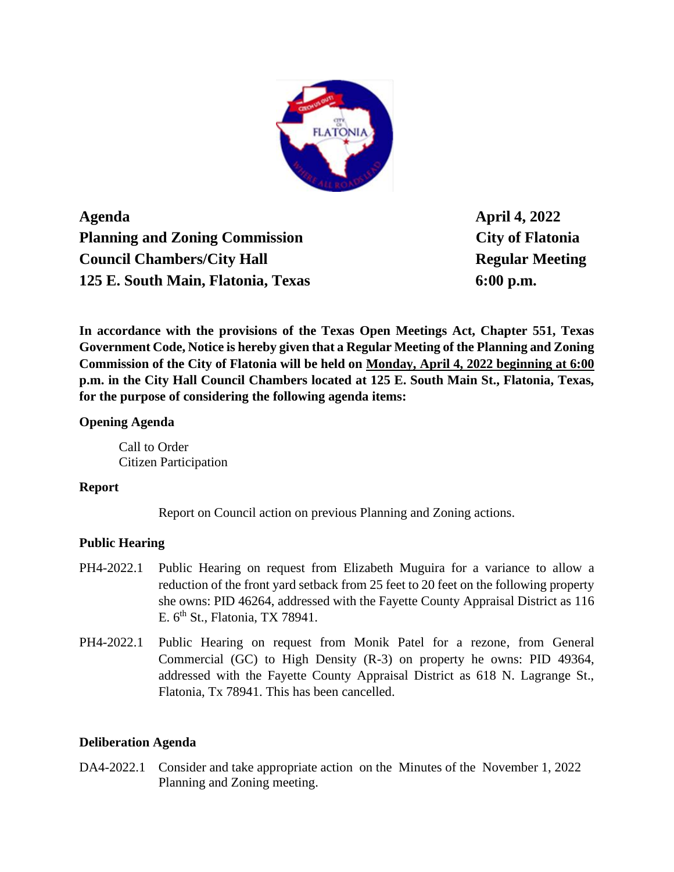

**Agenda April 4, 2022 Planning and Zoning Commission City of Flatonia Council Chambers/City Hall Regular Meeting 125 E. South Main, Flatonia, Texas 6:00 p.m.**

**In accordance with the provisions of the Texas Open Meetings Act, Chapter 551, Texas Government Code, Notice is hereby given that a Regular Meeting of the Planning and Zoning Commission of the City of Flatonia will be held on Monday, April 4, 2022 beginning at 6:00 p.m. in the City Hall Council Chambers located at 125 E. South Main St., Flatonia, Texas, for the purpose of considering the following agenda items:**

### **Opening Agenda**

Call to Order Citizen Participation

#### **Report**

Report on Council action on previous Planning and Zoning actions.

# **Public Hearing**

- PH4-2022.1 Public Hearing on request from Elizabeth Muguira for a variance to allow a reduction of the front yard setback from 25 feet to 20 feet on the following property she owns: PID 46264, addressed with the Fayette County Appraisal District as 116 E.  $6<sup>th</sup>$  St., Flatonia, TX 78941.
- PH4-2022.1 Public Hearing on request from Monik Patel for a rezone, from General Commercial (GC) to High Density (R-3) on property he owns: PID 49364, addressed with the Fayette County Appraisal District as 618 N. Lagrange St., Flatonia, Tx 78941. This has been cancelled.

# **Deliberation Agenda**

DA4-2022.1 Consider and take appropriate action on the Minutes of the November 1, 2022 Planning and Zoning meeting.